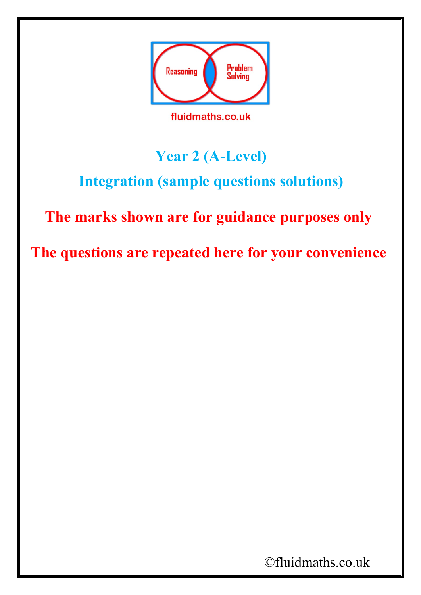

## **Year 2 (A-Level)**

## **Integration (sample questions solutions)**

## **The marks shown are for guidance purposes only**

**The questions are repeated here for your convenience**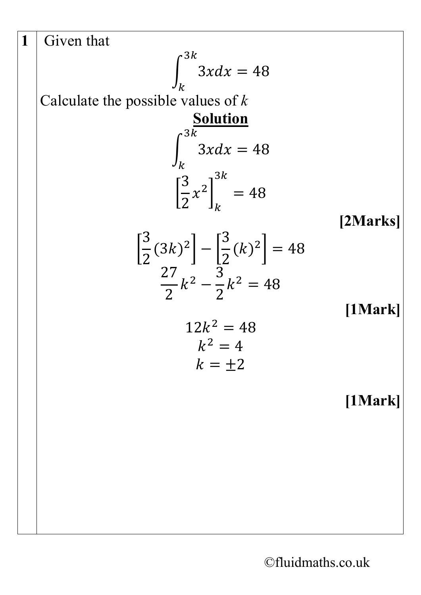$$
\begin{vmatrix}\n1 & \text{Given that} \\
\text{Calculate the possible values of } k \\
\text{Calculate the possible values of } k \\
\frac{\text{Solution}}{\int_{k}^{3k} 3x dx = 48 \\
\left[\frac{3}{2}x^{2}\right]_{k}^{3k} = 48\n\end{vmatrix}
$$
\n[2 Marks]\n
$$
\begin{bmatrix}\n3 & (3k)^{2} \\
2 & (3k)^{2}\n\end{bmatrix} - \left[\frac{3}{2}(k)^{2}\right] = 48\n\begin{bmatrix}\n2 \text{ Marks} \\
27 & k^{2} - \frac{3}{2}k^{2} = 48 \\
12k^{2} = 48 \\
k^{2} = 4\n\end{bmatrix}
$$
\n[1Mark]\n
$$
12k^{2} = 48
$$
\n[1Mark]\n
$$
k = \pm 2
$$
\n[1Mark]\n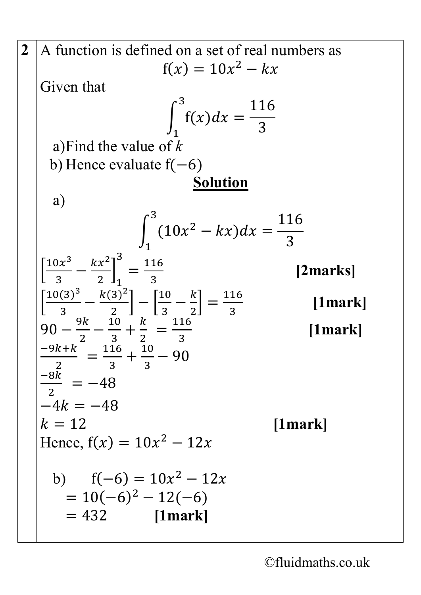2 A function is defined on a set of real numbers as  
\n
$$
f(x) = 10x^2 - kx
$$
  
\nGiven that  
\n
$$
\int_{1}^{3} f(x)dx = \frac{116}{3}
$$
\na) Find the value of k  
\nb) Hence evaluate  $f(-6)$   
\nSolution  
\na)  
\n
$$
\int_{1}^{3} (10x^2 - kx)dx = \frac{116}{3}
$$
\n[2marks]  
\n
$$
\left[\frac{10x^3}{3} - \frac{kx^2}{2}\right]_{1}^{3} = \frac{116}{3}
$$
\n[2marks]  
\n
$$
\left[\frac{10(3)^3}{3} - \frac{k(3)^2}{2}\right] - \left[\frac{10}{3} - \frac{k}{2}\right] = \frac{116}{3}
$$
\n[1mark]  
\n90 -  $\frac{9k}{2} - \frac{10}{3} + \frac{k}{2} = \frac{116}{3}$   
\n $\frac{-9k + k}{2} = \frac{116}{3} + \frac{10}{3} - 90$   
\n $\frac{-8k}{2} = -48$   
\n $-4k = -48$   
\n $k = 12$   
\nHence,  $f(x) = 10x^2 - 12x$   
\nb)  $f(-6) = 10x^2 - 12x$   
\n $= 10(-6)^2 - 12(-6)$   
\n $= 432$  [1mark]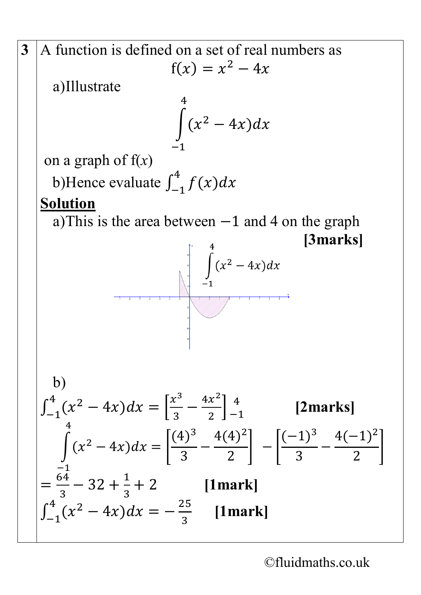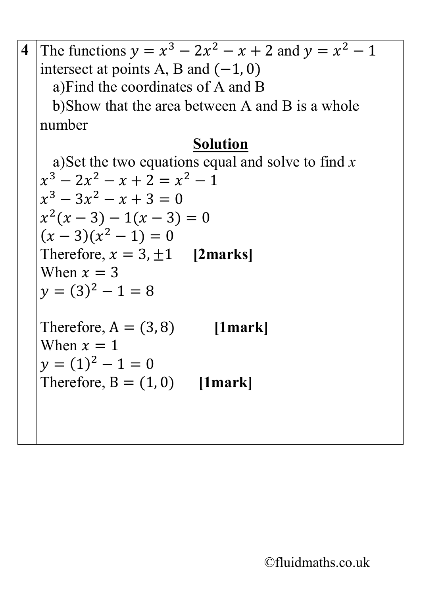**4** The functions  $y = x^3 - 2x^2 - x + 2$  and  $y = x^2 - 1$ intersect at points A, B and  $(-1, 0)$ a)Find the coordinates of A and B b)Show that the area between A and B is a whole number **Solution** a)Set the two equations equal and solve to find *x*  $x^3 - 2x^2 - x + 2 = x^2 - 1$  $x^3 - 3x^2 - x + 3 = 0$  $x^2(x-3) - 1(x-3) = 0$  $(x-3)(x^2-1)=0$ Therefore,  $x = 3, \pm 1$  **[2marks]** When  $x = 3$  $v = (3)^2 - 1 = 8$ Therefore,  $A = (3, 8)$  [1mark] When  $x = 1$  $y = (1)^2 - 1 = 0$ Therefore,  $B = (1, 0)$  [1mark]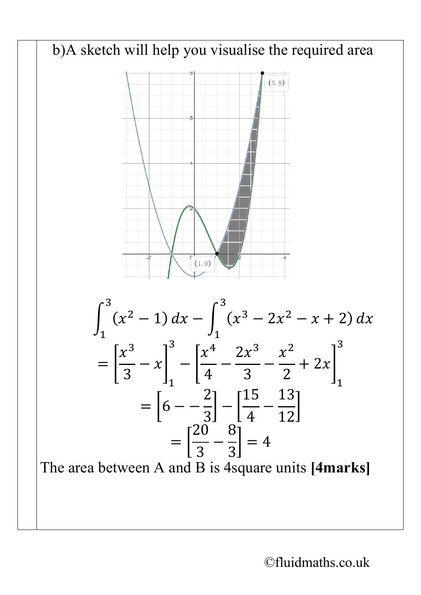